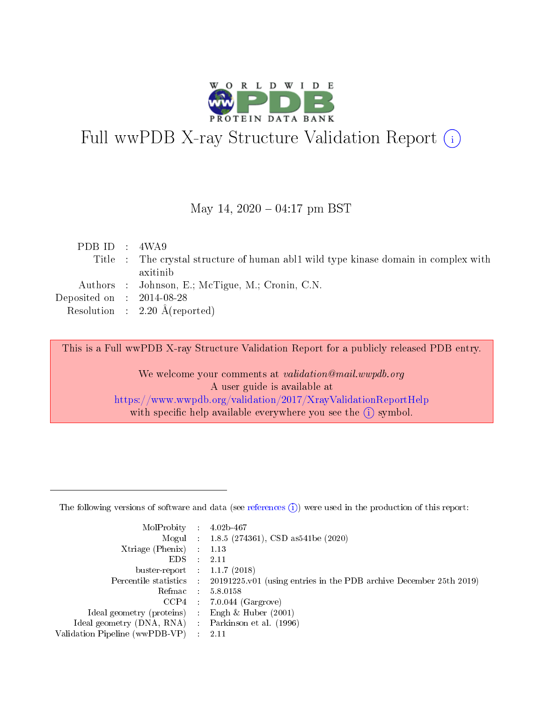

# Full wwPDB X-ray Structure Validation Report (i)

#### May 14,  $2020 - 04:17$  pm BST

| PDB ID : $4WA9$                      |                                                                                     |
|--------------------------------------|-------------------------------------------------------------------------------------|
|                                      | Title : The crystal structure of human abl1 wild type kinase domain in complex with |
|                                      | axitinib                                                                            |
|                                      | Authors : Johnson, E.; McTigue, M.; Cronin, C.N.                                    |
| Deposited on $\therefore$ 2014-08-28 |                                                                                     |
|                                      | Resolution : $2.20 \text{ Å}$ (reported)                                            |
|                                      |                                                                                     |

This is a Full wwPDB X-ray Structure Validation Report for a publicly released PDB entry.

We welcome your comments at validation@mail.wwpdb.org A user guide is available at <https://www.wwpdb.org/validation/2017/XrayValidationReportHelp> with specific help available everywhere you see the  $(i)$  symbol.

The following versions of software and data (see [references](https://www.wwpdb.org/validation/2017/XrayValidationReportHelp#references)  $(1)$ ) were used in the production of this report:

| MolProbity : 4.02b-467         |   |                                                                                              |
|--------------------------------|---|----------------------------------------------------------------------------------------------|
|                                |   | Mogul : 1.8.5 (274361), CSD as 541be (2020)                                                  |
| $X$ triage (Phenix) :          |   | 1.13                                                                                         |
| EDS.                           |   | 2.11                                                                                         |
| buster-report : $1.1.7$ (2018) |   |                                                                                              |
|                                |   | Percentile statistics : $20191225.v01$ (using entries in the PDB archive December 25th 2019) |
| Refmac :                       |   | 5.8.0158                                                                                     |
| CCP4                           |   | $7.0.044$ (Gargrove)                                                                         |
| Ideal geometry (proteins) :    |   | Engh $\&$ Huber (2001)                                                                       |
| Ideal geometry (DNA, RNA) :    |   | Parkinson et al. (1996)                                                                      |
| Validation Pipeline (wwPDB-VP) | ÷ | -2.11                                                                                        |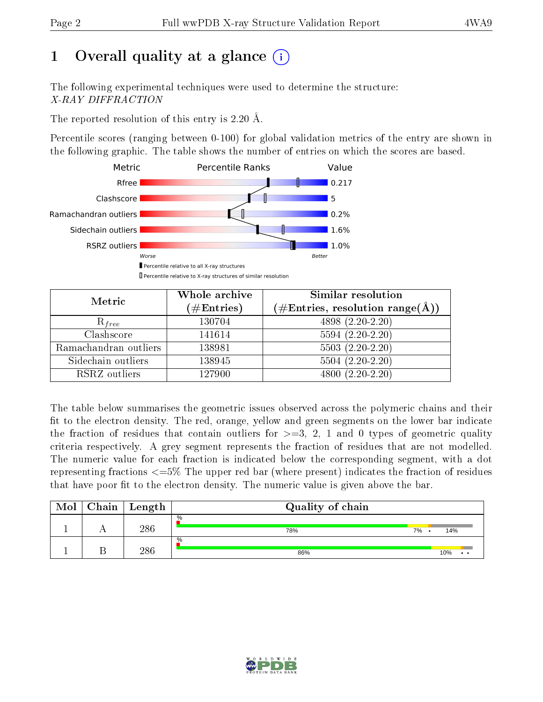# 1 [O](https://www.wwpdb.org/validation/2017/XrayValidationReportHelp#overall_quality)verall quality at a glance  $(i)$

The following experimental techniques were used to determine the structure: X-RAY DIFFRACTION

The reported resolution of this entry is 2.20 Å.

Percentile scores (ranging between 0-100) for global validation metrics of the entry are shown in the following graphic. The table shows the number of entries on which the scores are based.



| Metric                | Whole archive<br>$(\#\mathrm{Entries})$ | Similar resolution<br>$(\#\text{Entries}, \text{resolution range}(\AA))$ |
|-----------------------|-----------------------------------------|--------------------------------------------------------------------------|
| $R_{free}$            | 130704                                  | 4898 (2.20-2.20)                                                         |
| Clashscore            | 141614                                  | $5594(2.20-2.20)$                                                        |
| Ramachandran outliers | 138981                                  | $5503(2.20-2.20)$                                                        |
| Sidechain outliers    | 138945                                  | $5504(2.20-2.20)$                                                        |
| RSRZ outliers         | 127900                                  | $4800(2.20-2.20)$                                                        |

The table below summarises the geometric issues observed across the polymeric chains and their fit to the electron density. The red, orange, yellow and green segments on the lower bar indicate the fraction of residues that contain outliers for  $>=3, 2, 1$  and 0 types of geometric quality criteria respectively. A grey segment represents the fraction of residues that are not modelled. The numeric value for each fraction is indicated below the corresponding segment, with a dot representing fractions <=5% The upper red bar (where present) indicates the fraction of residues that have poor fit to the electron density. The numeric value is given above the bar.

| Mol | $Chain \  Length$ | Quality of chain |    |                             |
|-----|-------------------|------------------|----|-----------------------------|
|     | 286               | $\%$<br>78%      | 7% | 14%                         |
|     | 286               | $\%$<br>86%      |    | 10%<br>$\ddot{\phantom{a}}$ |

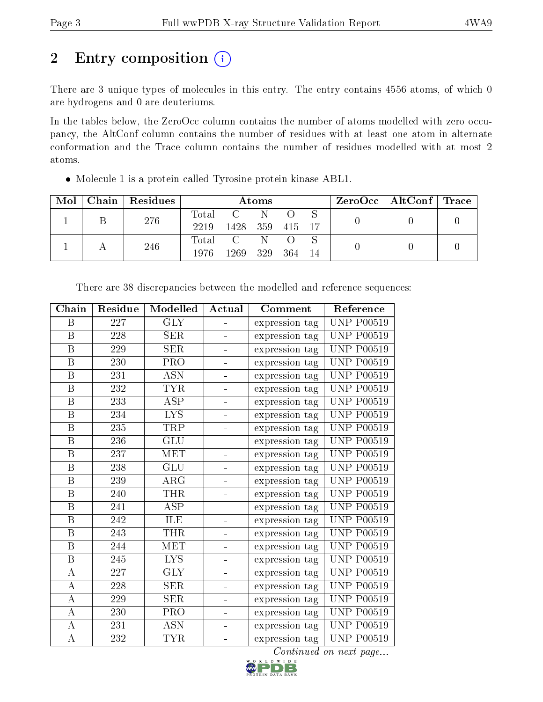# 2 Entry composition (i)

There are 3 unique types of molecules in this entry. The entry contains 4556 atoms, of which 0 are hydrogens and 0 are deuteriums.

In the tables below, the ZeroOcc column contains the number of atoms modelled with zero occupancy, the AltConf column contains the number of residues with at least one atom in alternate conformation and the Trace column contains the number of residues modelled with at most 2 atoms.

| $\text{Mol}$ | Chain Residues | Atoms |           |     |            | $ZeroOcc \mid AltConf \mid Trace$ |  |  |
|--------------|----------------|-------|-----------|-----|------------|-----------------------------------|--|--|
|              | 276            | Total | $\rm C$ . | -N- |            |                                   |  |  |
|              |                | 2219  | 1428 359  |     | - 415 - 17 |                                   |  |  |
|              | 246            | Total | $C =$     |     |            |                                   |  |  |
|              |                | 1976  | 1269      | 329 | -364       |                                   |  |  |

Molecule 1 is a protein called Tyrosine-protein kinase ABL1.

| Residue          | Modelled                | Actual                       | Comment        | Reference         |
|------------------|-------------------------|------------------------------|----------------|-------------------|
| 227              | GLY                     |                              | expression tag | <b>UNP P00519</b> |
| 228              | $\rm{SER}$              |                              | expression tag | <b>UNP P00519</b> |
| 229              | <b>SER</b>              |                              | expression tag | <b>UNP P00519</b> |
| 230              | PRO                     |                              | expression tag | <b>UNP P00519</b> |
| 231              | <b>ASN</b>              | ÷                            | expression tag | <b>UNP P00519</b> |
| 232              | <b>TYR</b>              | $\qquad \qquad \blacksquare$ | expression tag | <b>UNP P00519</b> |
| 233              | <b>ASP</b>              | ÷                            | expression tag | <b>UNP P00519</b> |
| 234              | <b>LYS</b>              |                              | expression tag | <b>UNP P00519</b> |
| 235              | <b>TRP</b>              | $\overline{\phantom{0}}$     | expression tag | <b>UNP P00519</b> |
| 236              | <b>GLU</b>              |                              | expression tag | <b>UNP P00519</b> |
| 237              | <b>MET</b>              |                              | expression tag | <b>UNP P00519</b> |
| 238              | <b>GLU</b>              |                              | expression tag | <b>UNP P00519</b> |
| 239              | $\rm{ARG}$              | ÷                            | expression tag | <b>UNP P00519</b> |
| 240              | <b>THR</b>              | ÷                            | expression tag | <b>UNP P00519</b> |
| 241              | $\overline{\text{ASP}}$ | $\blacksquare$               | expression tag | <b>UNP P00519</b> |
| 242              | ILE                     |                              | expression tag | <b>UNP P00519</b> |
| $\overline{243}$ | <b>THR</b>              |                              | expression tag | <b>UNP P00519</b> |
| 244              | <b>MET</b>              |                              | expression tag | <b>UNP P00519</b> |
| $245\,$          | <b>LYS</b>              |                              | expression tag | <b>UNP P00519</b> |
| 227              | <b>GLY</b>              |                              | expression tag | <b>UNP P00519</b> |
| 228              | SER                     |                              | expression tag | <b>UNP P00519</b> |
| 229              | SER                     | ÷                            | expression tag | <b>UNP P00519</b> |
| 230              | PRO                     |                              | expression tag | <b>UNP P00519</b> |
| 231              | <b>ASN</b>              |                              | expression tag | <b>UNP P00519</b> |
| 232              | <b>TYR</b>              |                              | expression tag | <b>UNP P00519</b> |
|                  |                         |                              |                |                   |

There are 38 discrepancies between the modelled and reference sequences:

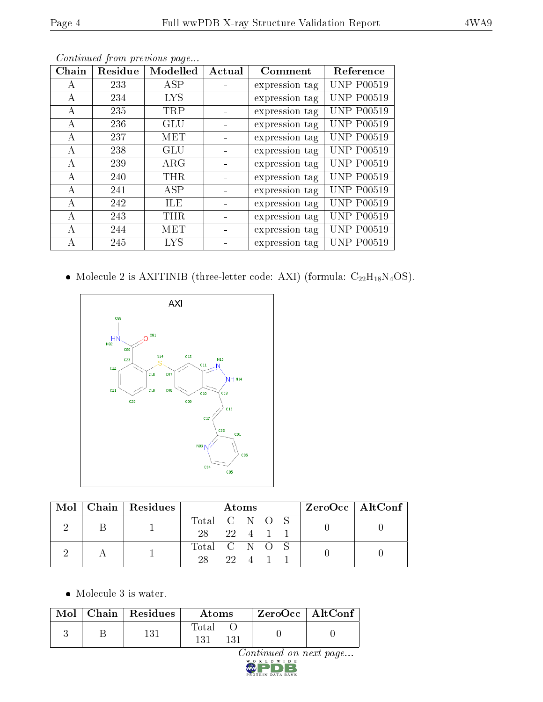| Chain | Residue | Modelled   | Actual | Comment        | Reference         |
|-------|---------|------------|--------|----------------|-------------------|
| A     | 233     | <b>ASP</b> |        | expression tag | <b>UNP P00519</b> |
| A     | 234     | LYS        |        | expression tag | <b>UNP P00519</b> |
| A     | 235     | <b>TRP</b> |        | expression tag | <b>UNP P00519</b> |
| А     | 236     | GLU        |        | expression tag | <b>UNP P00519</b> |
| А     | 237     | MET        |        | expression tag | <b>UNP P00519</b> |
| А     | 238     | <b>GLU</b> |        | expression tag | <b>UNP P00519</b> |
| А     | 239     | $\rm{ARG}$ |        | expression tag | <b>UNP P00519</b> |
| А     | 240     | <b>THR</b> |        | expression tag | <b>UNP P00519</b> |
| A     | 241     | ASP        |        | expression tag | <b>UNP P00519</b> |
| А     | 242     | ILE        |        | expression tag | <b>UNP P00519</b> |
| А     | 243     | THR        |        | expression tag | <b>UNP P00519</b> |
| A     | 244     | MET        |        | expression tag | <b>UNP P00519</b> |
| А     | 245     | LYS        |        | expression tag | <b>UNP P00519</b> |

Continued from previous page...

 $\bullet$  Molecule 2 is AXITINIB (three-letter code: AXI) (formula:  $\rm{C}_{22}H_{18}N_4OS).$ 



|  |  | $Mol$   Chain   Residues | Atoms         |  |        |  | $\rm ZeroOcc \mid AltConf \mid$ |  |
|--|--|--------------------------|---------------|--|--------|--|---------------------------------|--|
|  |  |                          | Total C N O S |  |        |  |                                 |  |
|  |  | 28                       | 22 4 1 1      |  |        |  |                                 |  |
|  |  |                          | Total C N O S |  |        |  |                                 |  |
|  |  |                          |               |  | 22 4 1 |  |                                 |  |

 $Continued on next page...$ 

Molecule 3 is water.

|  | $\text{Mol}$   Chain   Residues<br>Atoms |              | $\,$ ZeroOcc   Alt $\overline{\text{Conf}}$ |  |
|--|------------------------------------------|--------------|---------------------------------------------|--|
|  | 131                                      | Total<br>131 |                                             |  |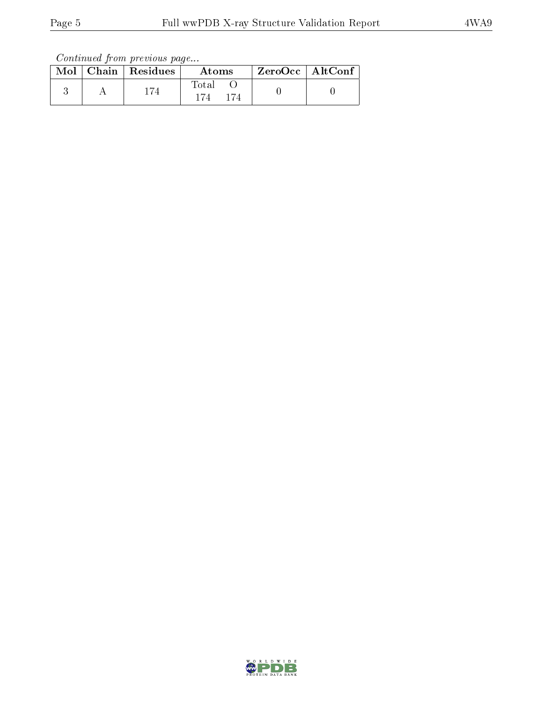Continued from previous page...

|  | $Mol$   Chain   Residues | Atoms            | $\vert$ ZeroOcc $\vert$ AltConf $\vert$ |  |
|--|--------------------------|------------------|-----------------------------------------|--|
|  | 174                      | $\mathrm{Total}$ |                                         |  |

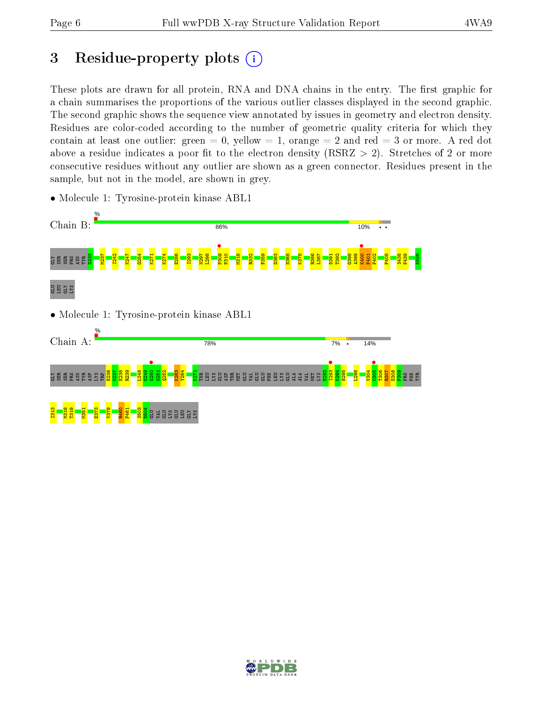# 3 Residue-property plots  $(i)$

These plots are drawn for all protein, RNA and DNA chains in the entry. The first graphic for a chain summarises the proportions of the various outlier classes displayed in the second graphic. The second graphic shows the sequence view annotated by issues in geometry and electron density. Residues are color-coded according to the number of geometric quality criteria for which they contain at least one outlier: green  $= 0$ , yellow  $= 1$ , orange  $= 2$  and red  $= 3$  or more. A red dot above a residue indicates a poor fit to the electron density (RSRZ  $> 2$ ). Stretches of 2 or more consecutive residues without any outlier are shown as a green connector. Residues present in the sample, but not in the model, are shown in grey.



• Molecule 1: Tyrosine-protein kinase ABL1

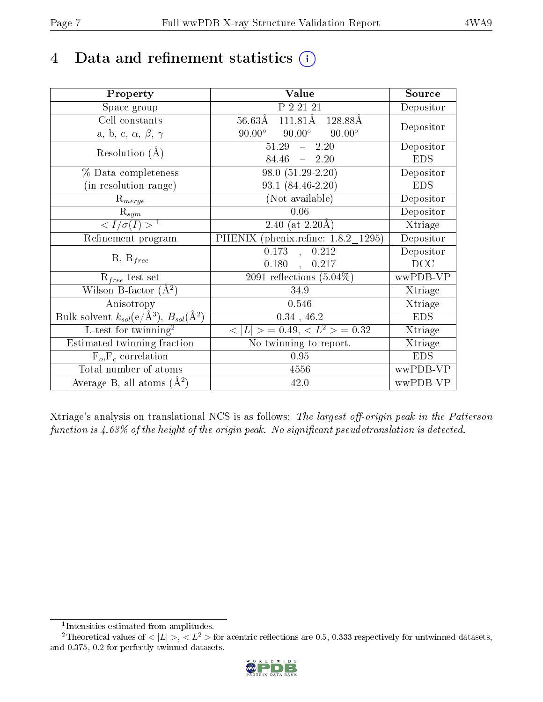# 4 Data and refinement statistics  $(i)$

| Property                                                             | Value                                                    | Source                       |
|----------------------------------------------------------------------|----------------------------------------------------------|------------------------------|
| Space group                                                          | P 2 21 21                                                | Depositor                    |
| Cell constants                                                       | $111.81\text{\AA}$<br>$56.63\text{\AA}$<br>128.88Å       |                              |
| a, b, c, $\alpha$ , $\beta$ , $\gamma$                               | $90.00^\circ$<br>$90.00^\circ$<br>$90.00^\circ$          | Depositor                    |
| Resolution $(A)$                                                     | 51.29<br>$-2.20$                                         | Depositor                    |
|                                                                      | $-2.20$<br>84.46                                         | <b>EDS</b>                   |
| % Data completeness                                                  | $98.0(51.29-2.20)$                                       | Depositor                    |
| (in resolution range)                                                | $93.1 (84.46 - 2.20)$                                    | <b>EDS</b>                   |
| $R_{merge}$                                                          | (Not available)                                          | Depositor                    |
| $\mathrm{R}_{sym}$                                                   | 0.06                                                     | Depositor                    |
| $\langle I/\sigma(I)\rangle^{-1}$                                    | 2.40 (at $2.20\text{\AA}$ )                              | Xtriage                      |
| Refinement program                                                   | PHENIX (phenix.refine: 1.8.2 1295)                       | Depositor                    |
| $R, R_{free}$                                                        | 0.173<br>0.212<br>$\mathbb{R}^2$                         | Depositor                    |
|                                                                      | $0.180$ ,<br>0.217                                       | DCC                          |
| $R_{free}$ test set                                                  | 2091 reflections $(5.04\%)$                              | wwPDB-VP                     |
| Wilson B-factor $(A^2)$                                              | 34.9                                                     | Xtriage                      |
| Anisotropy                                                           | 0.546                                                    | Xtriage                      |
| Bulk solvent $k_{sol}(e/\mathring{A}^3)$ , $B_{sol}(\mathring{A}^2)$ | $0.34$ , 46.2                                            | <b>EDS</b>                   |
| L-test for $\mathrm{twinning}^2$                                     | $\langle  L  \rangle = 0.49, \langle L^2 \rangle = 0.32$ | $\overline{\text{X}}$ triage |
| Estimated twinning fraction                                          | No twinning to report.                                   | Xtriage                      |
| $F_o, F_c$ correlation                                               | 0.95                                                     | <b>EDS</b>                   |
| Total number of atoms                                                | 4556                                                     | wwPDB-VP                     |
| Average B, all atoms $(A^2)$                                         | 42.0                                                     | wwPDB-VP                     |

Xtriage's analysis on translational NCS is as follows: The largest off-origin peak in the Patterson function is  $4.63\%$  of the height of the origin peak. No significant pseudotranslation is detected.

<sup>&</sup>lt;sup>2</sup>Theoretical values of  $\langle |L| \rangle$ ,  $\langle L^2 \rangle$  for acentric reflections are 0.5, 0.333 respectively for untwinned datasets, and 0.375, 0.2 for perfectly twinned datasets.



<span id="page-6-1"></span><span id="page-6-0"></span><sup>1</sup> Intensities estimated from amplitudes.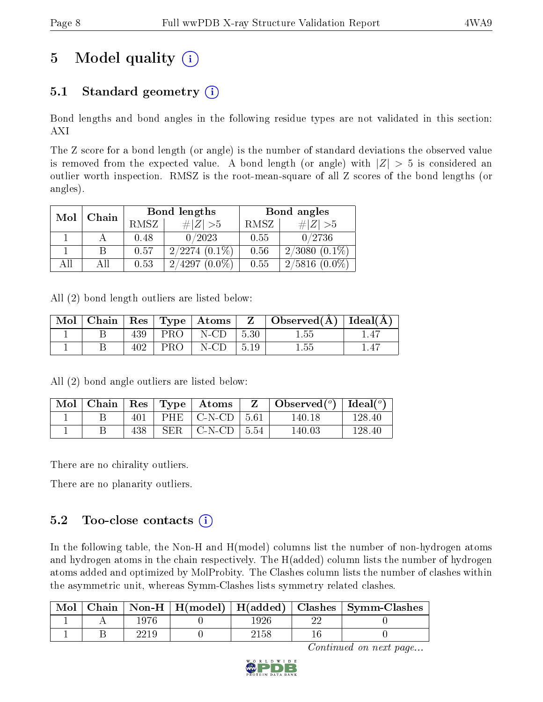# 5 Model quality  $(i)$

## 5.1 Standard geometry  $(i)$

Bond lengths and bond angles in the following residue types are not validated in this section: AXI

The Z score for a bond length (or angle) is the number of standard deviations the observed value is removed from the expected value. A bond length (or angle) with  $|Z| > 5$  is considered an outlier worth inspection. RMSZ is the root-mean-square of all Z scores of the bond lengths (or angles).

|     | Chain |      | Bond lengths        | Bond angles |                     |  |
|-----|-------|------|---------------------|-------------|---------------------|--|
| Mol |       | RMSZ | $\# Z  > 5$         | RMSZ        | $\# Z  > 5$         |  |
|     |       | 0.48 | 0/2023              | 0.55        | 0/2736              |  |
|     |       | 0.57 | $2/2274(0.1\%)$     | 0.56        | $2/3080(0.1\%)$     |  |
| АĦ  |       | 0.53 | 2/4297<br>$(0.0\%)$ | 0.55        | 2/5816<br>$(0.0\%)$ |  |

All (2) bond length outliers are listed below:

| Mol |     |            | Chain   Res   Type   Atoms | $Z \Box$           | $\vert$ Observed( $\rm \AA$ ) $\vert$ Ideal( $\rm \AA$ ) |  |
|-----|-----|------------|----------------------------|--------------------|----------------------------------------------------------|--|
|     | 439 | PRO        | $N$ -CD                    | $\vert 5.30 \vert$ | $1.55\,$                                                 |  |
|     |     | <b>PRO</b> | $N$ -CD                    | $\vert 5.19 \vert$ | $1.55\,$                                                 |  |

All (2) bond angle outliers are listed below:

|  |     | Mol   Chain   Res   Type   Atoms            | $\mathbf{Z}$ | $\perp$ Observed( <sup>o</sup> )   Ideal( <sup>o</sup> ) |        |
|--|-----|---------------------------------------------|--------------|----------------------------------------------------------|--------|
|  | 401 | $\mid$ PHE $\mid$ C-N-CD $\mid$ 5.61 $\mid$ |              | 140.18                                                   | 128.40 |
|  | 438 | SER $\mid$ C-N-CD $\mid$ 5.54               |              | 140.03                                                   | 128.40 |

There are no chirality outliers.

There are no planarity outliers.

### 5.2 Too-close contacts  $(i)$

In the following table, the Non-H and H(model) columns list the number of non-hydrogen atoms and hydrogen atoms in the chain respectively. The H(added) column lists the number of hydrogen atoms added and optimized by MolProbity. The Clashes column lists the number of clashes within the asymmetric unit, whereas Symm-Clashes lists symmetry related clashes.

| Mol |  |       |   | Chain   Non-H   H(model)   H(added)   Clashes   Symm-Clashes |
|-----|--|-------|---|--------------------------------------------------------------|
|     |  | 926   | ഹ |                                                              |
|     |  | 2158. |   |                                                              |

Continued on next page...

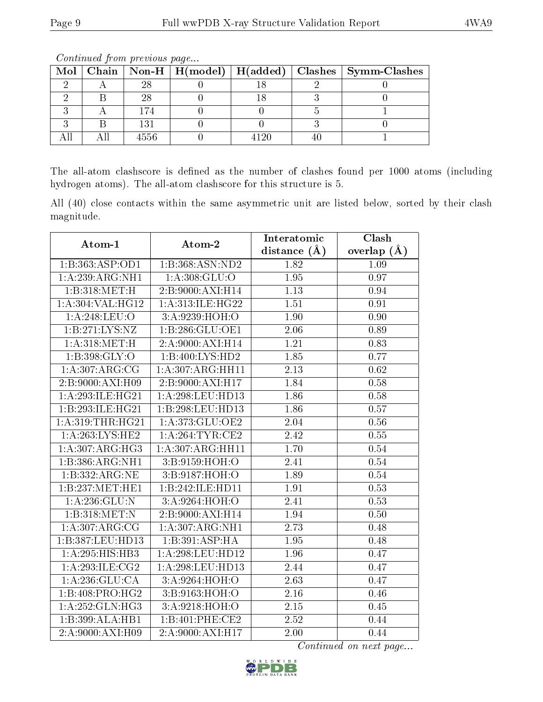| $\bf{Mol}$ |      |      | Chain   Non-H   H(model)   H(added)   Clashes   Symm-Clashes |
|------------|------|------|--------------------------------------------------------------|
|            |      |      |                                                              |
|            |      |      |                                                              |
|            | 174  |      |                                                              |
|            | 131  |      |                                                              |
|            | 4556 | າ ວເ |                                                              |

Continued from previous page...

The all-atom clashscore is defined as the number of clashes found per 1000 atoms (including hydrogen atoms). The all-atom clashscore for this structure is 5.

All (40) close contacts within the same asymmetric unit are listed below, sorted by their clash magnitude.

| Atom-1             | Atom-2            | Interatomic       | Clash         |
|--------------------|-------------------|-------------------|---------------|
|                    |                   | distance $(A)$    | overlap $(A)$ |
| 1:B:363:ASP:OD1    | 1:B:368:ASN:ND2   | 1.82              | 1.09          |
| 1:A:239:ARG:NH1    | 1: A:308: GLU:O   | 1.95              | 0.97          |
| 1:B:318:MET:H      | 2:B:9000:AXI:H14  | 1.13              | 0.94          |
| 1: A:304:VAL:HG12  | 1:A:313:ILE:HG22  | 1.51              | 0.91          |
| 1: A:248:LEU:O     | 3: A:9239: HOH:O  | 1.90              | 0.90          |
| 1: B: 271: LYS: NZ | 1:B:286:GLU:OE1   | 2.06              | 0.89          |
| 1: A:318: MET:H    | 2:A:9000:AXI:H14  | $\overline{1.21}$ | 0.83          |
| 1: B:398: GLY:O    | 1:B:400:LYS:HD2   | 1.85              | 0.77          |
| 1: A:307:ARG:CG    | 1:A:307:ARG:HH11  | 2.13              | $0.62\,$      |
| 2:B:9000:AXI:H09   | 2:B:9000:AXI:H17  | 1.84              | 0.58          |
| 1:A:293:ILE:HG21   | 1:A:298:LEU:HD13  | 1.86              | 0.58          |
| 1:B:293:ILE:HG21   | 1:B:298:LEU:HD13  | 1.86              | 0.57          |
| 1: A:319:THR:HG21  | 1: A:373: GLU:OE2 | 2.04              | 0.56          |
| 1: A:263:LYS:HE2   | 1: A:264:TYR:CE2  | 2.42              | 0.55          |
| 1: A:307: ARG: HG3 | 1:A:307:ARG:HH11  | 1.70              | 0.54          |
| 1:B:386:ARG:NH1    | 3:B:9159:HOH:O    | 2.41              | 0.54          |
| 1:B:332:ARG:NE     | 3:B:9187:HOH:O    | 1.89              | 0.54          |
| 1:B:237:MET:HE1    | 1:B:242:ILE:HD11  | 1.91              | 0.53          |
| 1: A: 236: GLU:N   | 3:A:9264:HOH:O    | $\overline{2.41}$ | 0.53          |
| 1:B:318:MET:N      | 2:B:9000:AXI:H14  | 1.94              | 0.50          |
| 1: A:307: ARG: CG  | 1:A:307:ARG:NH1   | 2.73              | 0.48          |
| 1:B:387:LEU:HD13   | 1:B:391:ASP:HA    | 1.95              | 0.48          |
| 1:A:295:HIS:HB3    | 1:A:298:LEU:HD12  | 1.96              | 0.47          |
| 1: A:293: ILE: CG2 | 1:A:298:LEU:HD13  | 2.44              | 0.47          |
| 1: A:236: GLU:CA   | 3:A:9264:HOH:O    | 2.63              | 0.47          |
| 1:1:3:408:PRO:HG2  | 3:B:9163:HOH:O    | 2.16              | 0.46          |
| 1:A:252:GLN:HG3    | 3: A:9218: HOH:O  | 2.15              | 0.45          |
| 1:B:399:ALA:HB1    | 1:B:401:PHE:CE2   | 2.52              | 0.44          |
| 2:A:9000:AXI:H09   | 2:A:9000:AXI:H17  | 2.00              | 0.44          |

Continued on next page...

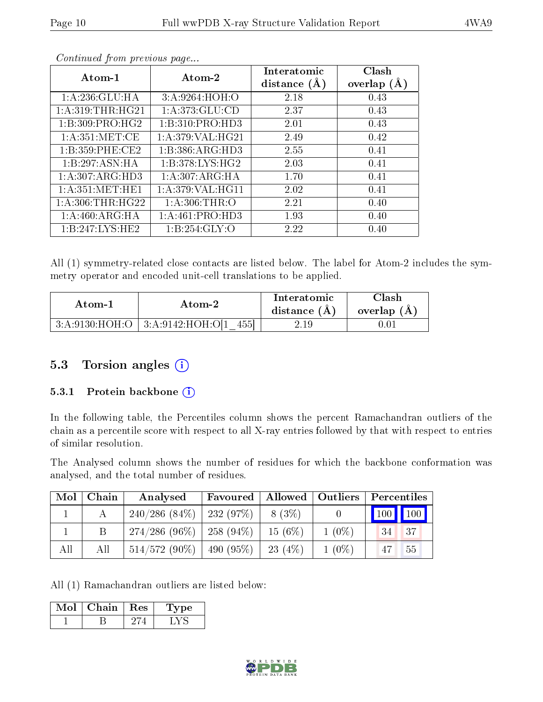| Atom-2<br>Atom-1  |                     | Interatomic<br>distance $(A)$ | Clash<br>overlap $(A)$ |
|-------------------|---------------------|-------------------------------|------------------------|
| 1: A:236: GLU:HA  | 3:A:9264:HOH:O      | 2.18                          | 0.43                   |
| 1: A:319:THR:HG21 | 1: A:373: GLU:CD    | 2.37                          | 0.43                   |
| 1:B:309:PRO:HG2   | 1:B:310:PRO:HD3     | 2.01                          | 0.43                   |
| 1: A:351: MET:CE  | 1: A:379: VAL:HG21  | 2.49                          | 0.42                   |
| 1:B:359:PHE:CE2   | 1:B:386:ARG:HD3     | 2.55                          | 0.41                   |
| 1:B:297:ASN:HA    | 1: B: 378: LYS: HG2 | 2.03                          | 0.41                   |
| 1: A:307: ARG:HD3 | 1: A:307: ARG: HA   | 1.70                          | 0.41                   |
| 1: A:351: MET:HE1 | 1: A:379: VAL:HGI1  | 2.02                          | 0.41                   |
| 1: A:306:THR:HG22 | 1: A:306:THR:O      | 2.21                          | 0.40                   |
| 1: A:460:ARG:HA   | 1:A:461:PRO:HD3     | 1.93                          | 0.40                   |
| 1:B:247:LYS:HE2   | 1:B:254:GLY:O       | 2.22                          | 0.40                   |

Continued from previous page...

All (1) symmetry-related close contacts are listed below. The label for Atom-2 includes the symmetry operator and encoded unit-cell translations to be applied.

| Atom-2 |                                               | Interatomic    | Clash       |
|--------|-----------------------------------------------|----------------|-------------|
| Atom-1 |                                               | distance $(A)$ | overlap (A) |
|        | $3:A:9130:HOH:O$   $3:A:9142:HOH:O[1]$<br>455 | 2.19-          |             |

#### 5.3 Torsion angles (i)

#### 5.3.1 Protein backbone (i)

In the following table, the Percentiles column shows the percent Ramachandran outliers of the chain as a percentile score with respect to all X-ray entries followed by that with respect to entries of similar resolution.

The Analysed column shows the number of residues for which the backbone conformation was analysed, and the total number of residues.

| Mol | Chain | Analysed                      | Favoured         |         |          | Allowed   Outliers   Percentiles |  |  |
|-----|-------|-------------------------------|------------------|---------|----------|----------------------------------|--|--|
|     |       | $240/286$ (84\%)   232 (97\%) |                  | 8 (3\%) |          | 100 100                          |  |  |
|     |       | $274/286 (96\%)$   258 (94\%) |                  | 15(6%)  | $1(0\%)$ | $\sqrt{37}$<br>34                |  |  |
| All | All   | $514/572(90\%)$               | $\pm 490 (95\%)$ | 23(4%)  | $1(0\%)$ | 55<br>47                         |  |  |

All (1) Ramachandran outliers are listed below:

| Mol | Chain | Res | vpe |
|-----|-------|-----|-----|
|     |       |     |     |

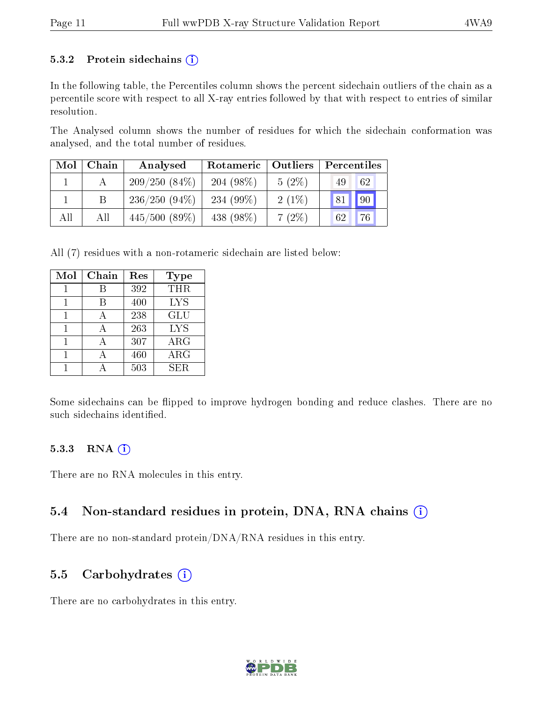#### 5.3.2 Protein sidechains  $(i)$

In the following table, the Percentiles column shows the percent sidechain outliers of the chain as a percentile score with respect to all X-ray entries followed by that with respect to entries of similar resolution.

The Analysed column shows the number of residues for which the sidechain conformation was analysed, and the total number of residues.

| Mol | Chain | Analysed        | Rotameric    | Outliers | Percentiles |
|-----|-------|-----------------|--------------|----------|-------------|
|     |       | $209/250(84\%)$ | $204(98\%)$  | $5(2\%)$ | 62<br>49    |
|     |       | $236/250(94\%)$ | 234 $(99\%)$ | $2(1\%)$ | 81 90       |
| All | All   | $445/500(89\%)$ | 438 (98\%)   | $7(2\%)$ | 76<br>62    |

All (7) residues with a non-rotameric sidechain are listed below:

| Mol | Chain | Res | Type       |
|-----|-------|-----|------------|
|     |       | 392 | THR        |
|     | В     | 400 | <b>LYS</b> |
|     |       | 238 | GLU        |
|     | A     | 263 | <b>LYS</b> |
|     | А     | 307 | $\rm{ARG}$ |
|     | А     | 460 | $\rm{ARG}$ |
|     |       | 503 | SER.       |

Some sidechains can be flipped to improve hydrogen bonding and reduce clashes. There are no such sidechains identified.

#### 5.3.3 RNA (i)

There are no RNA molecules in this entry.

### 5.4 Non-standard residues in protein, DNA, RNA chains (i)

There are no non-standard protein/DNA/RNA residues in this entry.

#### 5.5 Carbohydrates  $(i)$

There are no carbohydrates in this entry.

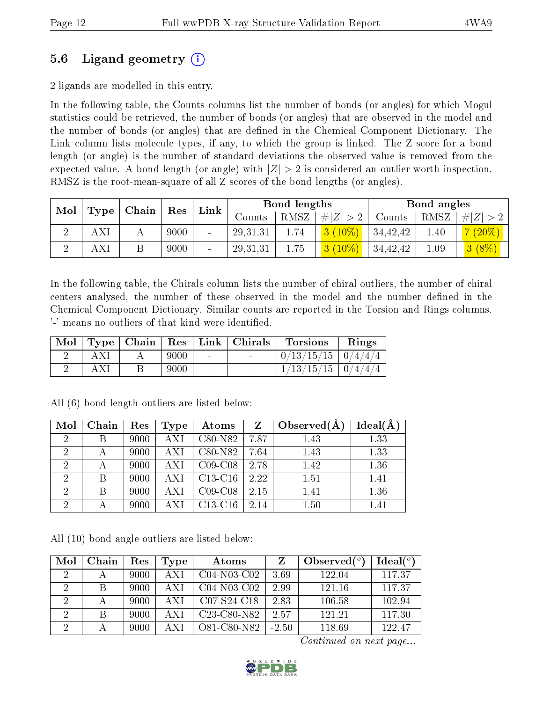## 5.6 Ligand geometry (i)

2 ligands are modelled in this entry.

In the following table, the Counts columns list the number of bonds (or angles) for which Mogul statistics could be retrieved, the number of bonds (or angles) that are observed in the model and the number of bonds (or angles) that are dened in the Chemical Component Dictionary. The Link column lists molecule types, if any, to which the group is linked. The Z score for a bond length (or angle) is the number of standard deviations the observed value is removed from the expected value. A bond length (or angle) with  $|Z| > 2$  is considered an outlier worth inspection. RMSZ is the root-mean-square of all Z scores of the bond lengths (or angles).

| Mol | Chain<br>$\operatorname{Res}$<br>$\vert$ Type |   | <b>Bond lengths</b><br>Link |                |            |          | Bond angles |                |      |          |
|-----|-----------------------------------------------|---|-----------------------------|----------------|------------|----------|-------------|----------------|------|----------|
|     |                                               |   |                             |                | Counts     | $RMSZ_1$ | $\# Z  > 2$ | Counts         | RMSZ | 4 Z  > 2 |
|     | AXI                                           | А | 9000                        | $\blacksquare$ | 29, 31, 31 | 1.74     | $3(10\%)$   | 34,42,42       | 1.40 | $(20\%)$ |
|     | AX!                                           |   | 9000                        | $\blacksquare$ | 29, 31, 31 | 1.75     | $3(10\%)$   | $\pm 34,42,42$ | 1.09 | $3(8\%)$ |

In the following table, the Chirals column lists the number of chiral outliers, the number of chiral centers analysed, the number of these observed in the model and the number defined in the Chemical Component Dictionary. Similar counts are reported in the Torsion and Rings columns. '-' means no outliers of that kind were identified.

|  |      |                          | Mol   Type   Chain   Res   Link   Chirals | <b>Torsions</b>          | Rings |
|--|------|--------------------------|-------------------------------------------|--------------------------|-------|
|  | 9000 | <b>Contract</b>          | $\sim$                                    | $0/13/15/15$   $0/4/4/4$ |       |
|  | 9000 | $\overline{\phantom{a}}$ |                                           | $1/13/15/15$   $0/4/4/4$ |       |

| Mol            | Chain        | Res  | Type       | Atoms     | $Z_{-}$ | Observed $(A)$ | $Ideal(\AA)$ |
|----------------|--------------|------|------------|-----------|---------|----------------|--------------|
| $\overline{2}$ |              | 9000 | <b>AXI</b> | C80-N82   | 7.87    | 1.43           | 1.33         |
| $\overline{2}$ |              | 9000 | <b>AXI</b> | C80-N82   | 7.64    | 1.43           | 1.33         |
| $\overline{2}$ | $\mathbf{A}$ | 9000 | AXI        | $C09-C08$ | 2.78    | 1.42           | 1.36         |
| 2              |              | 9000 | <b>AXI</b> | $C13-C16$ | 2.22    | 1.51           | 1.41         |
| $\overline{2}$ | В            | 9000 | AXI        | $C09-C08$ | 2.15    | 1.41           | 1.36         |
| $\overline{2}$ |              | 9000 | AXI        | $C13-C16$ | 2.14    | 1.50           | 1.41         |

All (6) bond length outliers are listed below:

All (10) bond angle outliers are listed below:

| Mol            | Chain | $\operatorname{Res}% \left( \mathcal{N}\right) \equiv\operatorname{Res}(\mathcal{N}_{0})\cap\mathcal{N}_{1}$ | <b>Type</b> | Atoms                                             | Z       | Observed $(°)$ | Ideal(°) |
|----------------|-------|--------------------------------------------------------------------------------------------------------------|-------------|---------------------------------------------------|---------|----------------|----------|
| $\overline{2}$ | А     | 9000                                                                                                         | A XI        | $C04-N03-C02$                                     | 3.69    | 122.04         | 117.37   |
| 2              | Β     | 9000                                                                                                         | A X I       | $C04$ N <sub>03</sub> $C02$                       | 2.99    | 121.16         | 117.37   |
| 2              |       | 9000                                                                                                         | A X I       | C07-S24-C18                                       | 2.83    | 106.58         | 102.94   |
| $\overline{2}$ | B     | 9000                                                                                                         | A X I       | C <sub>23</sub> -C <sub>80</sub> -N <sub>82</sub> | 2.57    | 121.21         | 117.30   |
| $\overline{2}$ |       | 9000                                                                                                         | AΧI         | O81-C80-N82                                       | $-2.50$ | 118.69         | 122.47   |

Continued on next page...

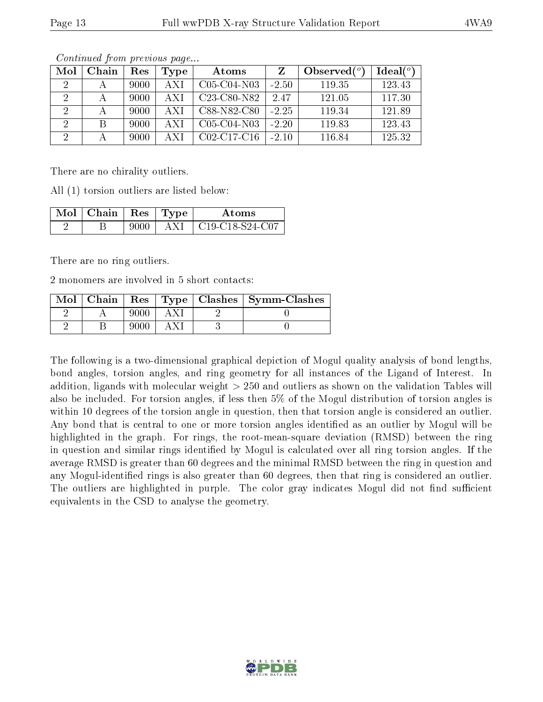| Mol | Chain | $\operatorname{Res}% \left( \mathcal{N}\right) \equiv\operatorname{Res}(\mathcal{N}_{0})\cap\mathcal{N}_{1}$ | Type  | Atoms                                             |         | Observed $(°)$ | Ideal(°) |
|-----|-------|--------------------------------------------------------------------------------------------------------------|-------|---------------------------------------------------|---------|----------------|----------|
|     |       | 9000                                                                                                         | A X I | $C05-C04-N03$                                     | $-2.50$ | 119.35         | 123.43   |
|     |       | 9000                                                                                                         | A X I | C <sub>23</sub> -C <sub>80</sub> -N <sub>82</sub> | 2.47    | 121.05         | 117.30   |
|     |       | 9000                                                                                                         | A X I | C88-N82-C80                                       | $-2.25$ | 119.34         | 121.89   |
|     | В     | 9000                                                                                                         | A X I | $C05-C04-N03$                                     | $-2.20$ | 119.83         | 123.43   |
|     |       | 9000                                                                                                         | A X I | $C02-C17-C16$                                     | $-2.10$ | 116.84         | 125.32   |

Continued from previous page...

There are no chirality outliers.

All (1) torsion outliers are listed below:

| $\mathbf{Mol}$   Chain   Res   Type |       | Atoms                                                                     |
|-------------------------------------|-------|---------------------------------------------------------------------------|
|                                     | A X L | $\mid$ C <sub>19</sub> -C <sub>18</sub> -S <sub>24</sub> -C <sub>07</sub> |

There are no ring outliers.

2 monomers are involved in 5 short contacts:

| $Mol$   Chain |  | Res   Type   Clashes   Symm-Clashes |
|---------------|--|-------------------------------------|
|               |  |                                     |
|               |  |                                     |

The following is a two-dimensional graphical depiction of Mogul quality analysis of bond lengths, bond angles, torsion angles, and ring geometry for all instances of the Ligand of Interest. In addition, ligands with molecular weight > 250 and outliers as shown on the validation Tables will also be included. For torsion angles, if less then 5% of the Mogul distribution of torsion angles is within 10 degrees of the torsion angle in question, then that torsion angle is considered an outlier. Any bond that is central to one or more torsion angles identified as an outlier by Mogul will be highlighted in the graph. For rings, the root-mean-square deviation (RMSD) between the ring in question and similar rings identified by Mogul is calculated over all ring torsion angles. If the average RMSD is greater than 60 degrees and the minimal RMSD between the ring in question and any Mogul-identied rings is also greater than 60 degrees, then that ring is considered an outlier. The outliers are highlighted in purple. The color gray indicates Mogul did not find sufficient equivalents in the CSD to analyse the geometry.

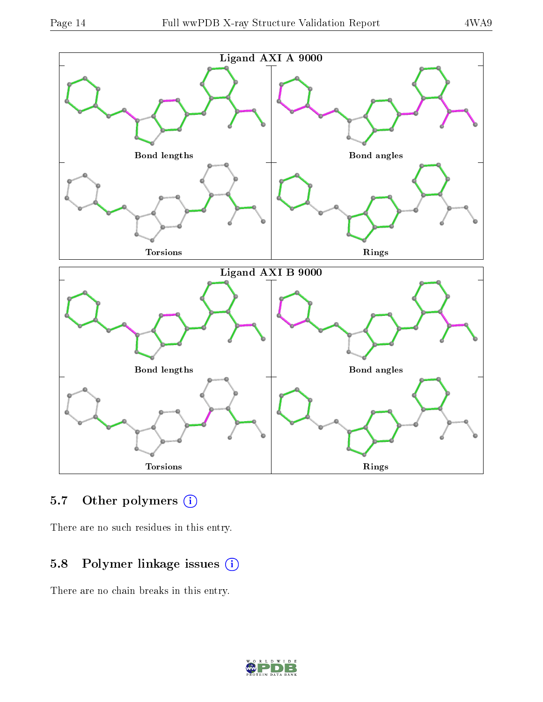

#### 5.7 [O](https://www.wwpdb.org/validation/2017/XrayValidationReportHelp#nonstandard_residues_and_ligands)ther polymers  $(i)$

There are no such residues in this entry.

### 5.8 Polymer linkage issues (i)

There are no chain breaks in this entry.

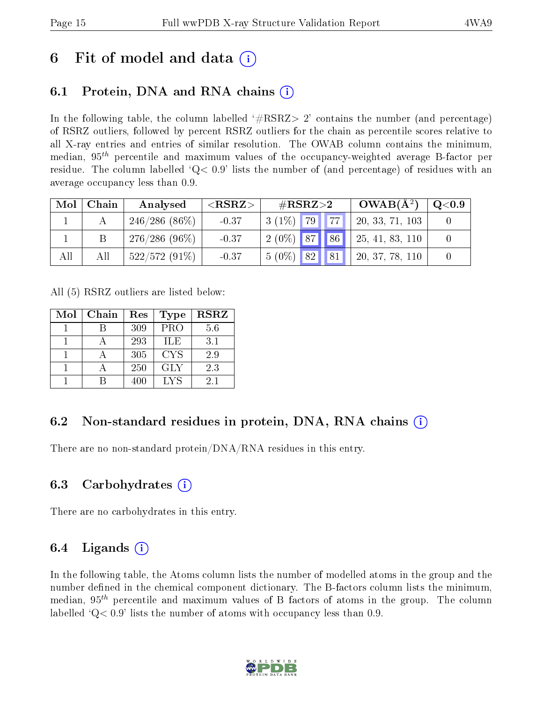# 6 Fit of model and data  $\left( \cdot \right)$

## 6.1 Protein, DNA and RNA chains (i)

In the following table, the column labelled  $#RSRZ>2'$  contains the number (and percentage) of RSRZ outliers, followed by percent RSRZ outliers for the chain as percentile scores relative to all X-ray entries and entries of similar resolution. The OWAB column contains the minimum, median,  $95<sup>th</sup>$  percentile and maximum values of the occupancy-weighted average B-factor per residue. The column labelled  $Q< 0.9$  lists the number of (and percentage) of residues with an average occupancy less than 0.9.

| Mol | Chain | Analysed        | ${ <\hspace{-1.5pt}{\mathrm{RSRZ}} \hspace{-1.5pt}>}$ | $\#\mathrm{RSRZ}{>}2$ |            | $OWAB(A^2)$     | $\mathrm{Q} {<} 0.9$ |
|-----|-------|-----------------|-------------------------------------------------------|-----------------------|------------|-----------------|----------------------|
|     |       | $246/286(86\%)$ | $-0.37$                                               | $3(1\%)$ 79           | $\vert$ 77 | 20, 33, 71, 103 |                      |
|     |       | $276/286(96\%)$ | $-0.37$                                               | $2(0\%)$ 87 86        |            | 25, 41, 83, 110 |                      |
| All | All   | $522/572(91\%)$ | $-0.37$                                               | 82 <br>$5(0\%)$       | $\vert$ 81 | 20, 37, 78, 110 |                      |

All (5) RSRZ outliers are listed below:

| Mol | Chain | Res | <b>Type</b> | <b>RSRZ</b> |
|-----|-------|-----|-------------|-------------|
|     |       | 309 | PRO         | 5.6         |
|     |       | 293 | ILE         | 3.1         |
|     |       | 305 | <b>CYS</b>  | 2.9         |
|     |       | 250 | <b>GLY</b>  | 2.3         |
|     |       | 400 | LYS         | 2.1         |

### 6.2 Non-standard residues in protein, DNA, RNA chains  $(i)$

There are no non-standard protein/DNA/RNA residues in this entry.

### 6.3 Carbohydrates (i)

There are no carbohydrates in this entry.

### 6.4 Ligands  $(i)$

In the following table, the Atoms column lists the number of modelled atoms in the group and the number defined in the chemical component dictionary. The B-factors column lists the minimum, median,  $95<sup>th</sup>$  percentile and maximum values of B factors of atoms in the group. The column labelled  $Q< 0.9$  lists the number of atoms with occupancy less than 0.9.

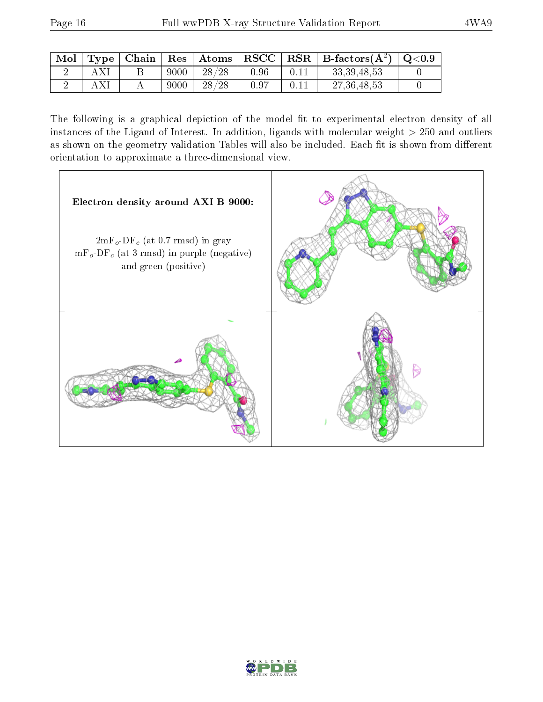|  |      |       |      | $\vert$ Mol $\vert$ Type $\vert$ Chain $\vert$ Res $\vert$ Atoms $\vert$ RSCC $\vert$ RSR $\vert$ B-factors(A <sup>2</sup> ) $\vert$ Q<0.9 |  |
|--|------|-------|------|--------------------------------------------------------------------------------------------------------------------------------------------|--|
|  | 9000 | 28/28 | 0.96 | 33, 39, 48, 53                                                                                                                             |  |
|  | 9000 | 28/28 | 0.97 | 27, 36, 48, 53                                                                                                                             |  |

The following is a graphical depiction of the model fit to experimental electron density of all instances of the Ligand of Interest. In addition, ligands with molecular weight  $> 250$  and outliers as shown on the geometry validation Tables will also be included. Each fit is shown from different orientation to approximate a three-dimensional view.